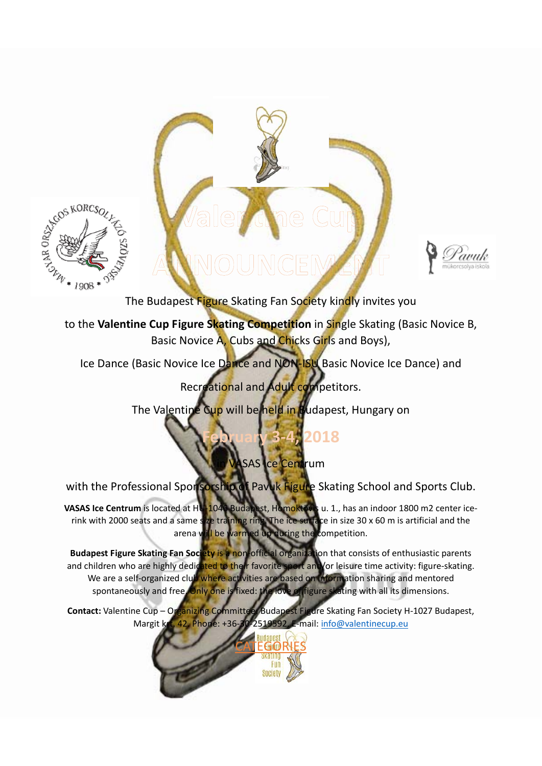





The Budapest Figure Skating Fan Society kindly invites you

to the **Valentine Cup Figure Skating Competition** in Single Skating (Basic Novice B, Basic Novice A, Cubs and Chicks Girls and Boys),

Ice Dance (Basic Novice Ice Dance and NON-ISU Basic Novice Ice Dance) and

Recreational and Adult competitors.

The Valentine Cup will be held in Budapest, Hungary on

**February 3‐4, 2018**

**SAS Ice Centrum** 

with the Professional Sponsorship of Pavuk Figure Skating School and Sports Club.

**VASAS Ice Centrum** is located at HU‐1046 Budapest, Homoktövis u. 1., has an indoor 1800 m2 center ice‐ rink with 2000 seats and a same size training ring. The ice surface in size 30 x 60 m is artificial and the arena will be warmed up during the competition.

**Budapest Figure Skating Fan Society** is a non‐official organization that consists of enthusiastic parents and children who are highly dedicated to their favorite sport and/or leisure time activity: figure-skating. We are a self-organized club where activities are based on information sharing and mentored spontaneously and free. Only one is fixed: the love of figure skating with all its dimensions.

**Contact:** Valentine Cup – Organizing Committee: Budapest Figure Skating Fan Society H‐1027 Budapest, Margit krt. 42. Phone: +36‐30‐2519592, E‐mail: info@valentinecup.eu

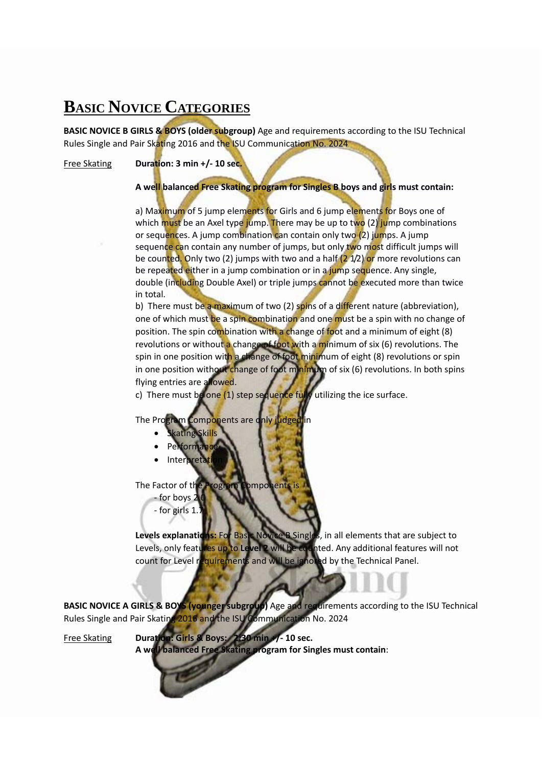# **BASIC NOVICE CATEGORIES**

**BASIC NOVICE B GIRLS & BOYS (older subgroup)** Age and requirements according to the ISU Technical Rules Single and Pair Skating 2016 and the ISU Communication No. 2024

#### Free Skating **Duration: 3 min +/‐ 10 sec.**

#### **A well balanced Free Skating program for Singles B boys and girls must contain:**

a) Maximum of 5 jump elements for Girls and 6 jump elements for Boys one of which must be an Axel type jump. There may be up to two (2) jump combinations or sequences. A jump combination can contain only two (2) jumps. A jump sequence can contain any number of jumps, but only two most difficult jumps will be counted. Only two (2) jumps with two and a half (2 1/2) or more revolutions can be repeated either in a jump combination or in a jump sequence. Any single, double (including Double Axel) or triple jumps cannot be executed more than twice in total.

b) There must be a maximum of two (2) spins of a different nature (abbreviation), one of which must be a spin combination and one must be a spin with no change of position. The spin combination with a change of foot and a minimum of eight (8) revolutions or without a change of foot with a minimum of six (6) revolutions. The spin in one position with a change of foot minimum of eight (8) revolutions or spin in one position without change of foot minimum of six (6) revolutions. In both spins flying entries are allowed.

c) There must be one (1) step sequence fully utilizing the ice surface.

The Program Components are only judged

- ating Skills
- formanc
- Interpretat

The Factor of the **Progr** 

- for boys 2
- $-$  for girls 1.7

**Levels explanations:** For Basic Novice B Singles, in all elements that are subject to Levels, only features up to **Level 2** will be counted. Any additional features will not count for Level requirements and will be ignored by the Technical Panel.

**BASIC NOVICE A GIRLS & BOYS (younger subgroup)** Age and requirements according to the ISU Technical Rules Single and Pair Skating 2016 and the ISU Communication No. 2024

Free Skating **Duration: Girls & Boys: 2:30 min +/‐ 10 sec. A well balanced Free Skating program for Singles must contain**: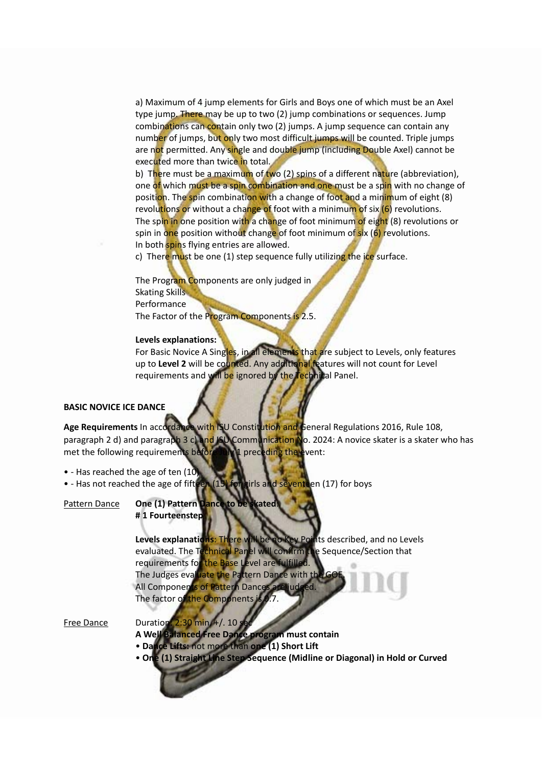a) Maximum of 4 jump elements for Girls and Boys one of which must be an Axel type jump. There may be up to two (2) jump combinations or sequences. Jump combinations can contain only two (2) jumps. A jump sequence can contain any number of jumps, but only two most difficult jumps will be counted. Triple jumps are not permitted. Any single and double jump (including Double Axel) cannot be executed more than twice in total.

b) There must be a maximum of two (2) spins of a different nature (abbreviation), one of which must be a spin combination and one must be a spin with no change of position. The spin combination with a change of foot and a minimum of eight (8) revolutions or without a change of foot with a minimum of six (6) revolutions. The spin in one position with a change of foot minimum of eight (8) revolutions or spin in one position without change of foot minimum of six (6) revolutions. In both spins flying entries are allowed.

c) There must be one (1) step sequence fully utilizing the ice surface.

The Program Components are only judged in Skating Skills

Performance

The Factor of the Program Components is 2.5.

#### **Levels explanations:**

For Basic Novice A Singles, in all elements that are subject to Levels, only features up to **Level 2** will be counted. Any additional features will not count for Level requirements and will be ignored by the Technical Panel.

#### **BASIC NOVICE ICE DANCE**

**Age Requirements** In accordance with ISU Constitution and General Regulations 2016, Rule 108, paragraph 2 d) and paragraph 3 c) and ISU Communication No. 2024: A novice skater is a skater who has met the following requirements before July 1 preceding the event:

- ‐ Has reached the age of ten (10)
- - Has not reached the age of fifteen (15) for girls and seventeen (17) for boys

| Pattern Dance | One (1) Pattern Dance to be skated. |  |
|---------------|-------------------------------------|--|
|               | #1 Fourteenstep                     |  |

**Levels explanations**: There will be no Key Points described, and no Levels evaluated. The Technical Panel will confirm the Sequence/Section that requirements for the Base Level are fulfilled. The Judges evaluate the Pattern Dance with the GO All Components of Pattern Dances are judged. The factor of the Components is 0.

### Free Dance Duration:  $2:30$  min.  $\pm$ /. 10 sec

**A Well Balanced Free Dance program must contain**

- **Dance Lifts:** not more than **one (1) Short Lift**
- **One (1) Straight Line Step Sequence (Midline or Diagonal) in Hold or Curved**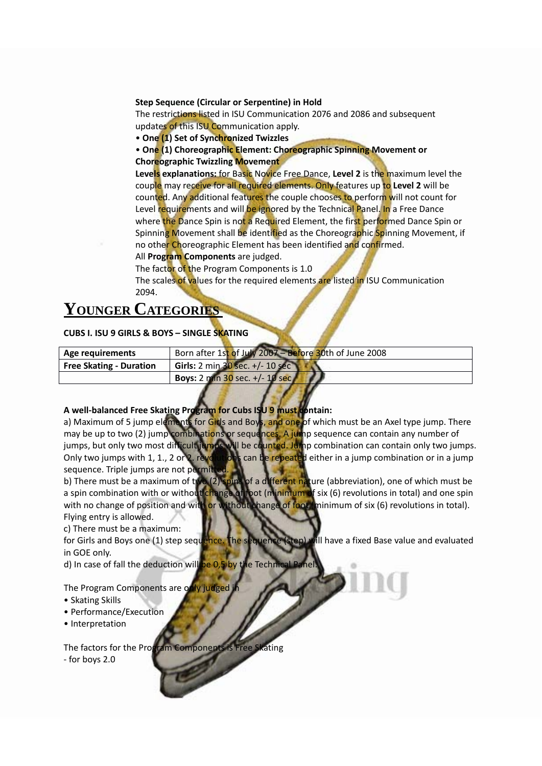#### **Step Sequence (Circular or Serpentine) in Hold**

The restrictions listed in ISU Communication 2076 and 2086 and subsequent updates of this ISU Communication apply.

• **One (1) Set of Synchronized Twizzles**

• **One (1) Choreographic Element: Choreographic Spinning Movement or Choreographic Twizzling Movement**

**Levels explanations:** for Basic Novice Free Dance, **Level 2** is the maximum level the couple may receive for all required elements. Only features up to **Level 2** will be counted. Any additional features the couple chooses to perform will not count for Level requirements and will be ignored by the Technical Panel. In a Free Dance where the Dance Spin is not a Required Element, the first performed Dance Spin or Spinning Movement shall be identified as the Choreographic Spinning Movement, if no other Choreographic Element has been identified and confirmed.

All **Program Components** are judged.

The factor of the Program Components is 1.0

The scales of values for the required elements are listed in ISU Communication 2094.

## **YOUNGER CATEGORIES**

**CUBS I. ISU 9 GIRLS & BOYS – SINGLE SKATING**

| Age requirements               | Born after 1st of July 2007 - Before 30th of June 2008 |
|--------------------------------|--------------------------------------------------------|
| <b>Free Skating - Duration</b> | Girls: 2 min 30 sec. +/- 10 sec                        |
|                                | <b>Boys: 2 min 30 sec. +/- 10 sec.</b>                 |

#### **A well‐balanced Free Skating Program for Cubs ISU 9 must contain:**

a) Maximum of 5 jump elements for Girls and Boys, and one of which must be an Axel type jump. There may be up to two (2) jump combinations or sequences. A jump sequence can contain any number of jumps, but only two most difficult jumps will be counted. Jump combination can contain only two jumps. Only two jumps with 1, 1., 2 or 2. revolutions can be repeated either in a jump combination or in a jump sequence. Triple jumps are not permit

b) There must be a maximum of two (2) spins of a different nature (abbreviation), one of which must be a spin combination with or without change of foot (minimum of six (6) revolutions in total) and one spin with no change of position and with or without change of foot (minimum of six (6) revolutions in total). Flying entry is allowed.

c) There must be a maximum:

for Girls and Boys one (1) step sequence. The sequence (step) will have a fixed Base value and evaluated in GOE only.

d) In case of fall the deduction will be  $0.5$  by the Techn

The Program Components are only judged

- Skating Skills
- Performance/Execution
- Interpretation

The factors for the Program Components is Free Skating

‐ for boys 2.0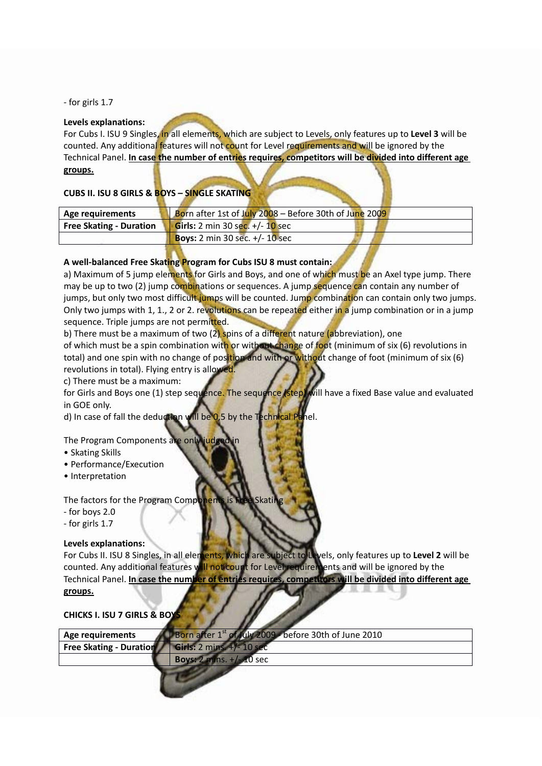‐ for girls 1.7

#### **Levels explanations:**

For Cubs I. ISU 9 Singles, in all elements, which are subject to Levels, only features up to **Level 3** will be counted. Any additional features will not count for Level requirements and will be ignored by the Technical Panel. **In case the number of entries requires, competitors will be divided into different age groups.**

#### **CUBS II. ISU 8 GIRLS & BOYS – SINGLE SKATING**

| Age requirements               | Born after 1st of July 2008 - Before 30th of June 2009 |
|--------------------------------|--------------------------------------------------------|
| <b>Free Skating - Duration</b> | Girls: 2 min 30 sec. +/- 10 sec                        |
|                                | <b>Boys:</b> 2 min 30 sec. $+/- 10$ sec                |
|                                |                                                        |

#### **A well‐balanced Free Skating Program for Cubs ISU 8 must contain:**

a) Maximum of 5 jump elements for Girls and Boys, and one of which must be an Axel type jump. There may be up to two (2) jump combinations or sequences. A jump sequence can contain any number of jumps, but only two most difficult jumps will be counted. Jump combination can contain only two jumps. Only two jumps with 1, 1., 2 or 2. revolutions can be repeated either in a jump combination or in a jump sequence. Triple jumps are not permitted.

b) There must be a maximum of two (2) spins of a different nature (abbreviation), one of which must be a spin combination with or without change of foot (minimum of six (6) revolutions in total) and one spin with no change of position and with or without change of foot (minimum of six (6) revolutions in total). Flying entry is allowed.

c) There must be a maximum:

for Girls and Boys one (1) step sequence. The sequence (step) will have a fixed Base value and evaluated in GOE only.

d) In case of fall the deduction will be 0,5 by the Technical Panel.

The Program Components are only

- Skating Skills
- Performance/Execution
- Interpretation

The factors for the Program Component

- ‐ for boys 2.0
- ‐ for girls 1.7

#### **Levels explanations:**

For Cubs II. ISU 8 Singles, in all elements, which are subject to Levels, only features up to **Level 2** will be counted. Any additional features will not count for Level requirements and will be ignored by the Technical Panel. **In case the number of entries requires, competitors will be divided into different age groups.**

#### **CHICKS I. ISU 7 GIRLS & BOYS**

| Age requirements               | $\blacksquare$ Born after 1 <sup>st</sup> of July 2009 - before 30th of June 2010 |
|--------------------------------|-----------------------------------------------------------------------------------|
| <b>Free Skating - Duration</b> | Girls: $2 \text{ mins.} + / -10 \text{ sec}$                                      |
|                                | <b>Boys:</b> $2 \text{ mins.} +/-10 \text{ sec}$                                  |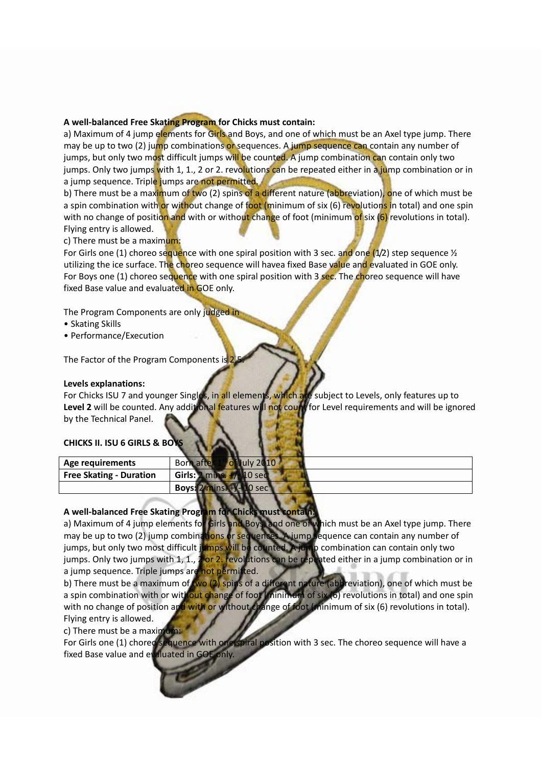#### **A well‐balanced Free Skating Program for Chicks must contain:**

a) Maximum of 4 jump elements for Girls and Boys, and one of which must be an Axel type jump. There may be up to two (2) jump combinations or sequences. A jump sequence can contain any number of jumps, but only two most difficult jumps will be counted. A jump combination can contain only two jumps. Only two jumps with 1, 1., 2 or 2. revolutions can be repeated either in a jump combination or in a jump sequence. Triple jumps are not permitted.

b) There must be a maximum of two (2) spins of a different nature (abbreviation), one of which must be a spin combination with or without change of foot (minimum of six (6) revolutions in total) and one spin with no change of position and with or without change of foot (minimum of six (6) revolutions in total). Flying entry is allowed.

c) There must be a maximum:

For Girls one (1) choreo sequence with one spiral position with 3 sec. and one (1/2) step sequence  $\frac{1}{2}$ utilizing the ice surface. The choreo sequence will havea fixed Base value and evaluated in GOE only. For Boys one (1) choreo sequence with one spiral position with 3 sec. The choreo sequence will have fixed Base value and evaluated in GOE only.

The Program Components are only judged in

- Skating Skills
- Performance/Execution

The Factor of the Program Components is 2.

#### **Levels explanations:**

For Chicks ISU 7 and younger Singles, in all elements, which are subject to Levels, only features up to Level 2 will be counted. Any additional features will not count for Level requirements and will be ignored by the Technical Panel.

#### **CHICKS II. ISU 6 GIRLS & BOYS**

| Age requirements               | of July 2010<br>Born after                                |
|--------------------------------|-----------------------------------------------------------|
| <b>Free Skating - Duration</b> | Girls: 2 mins.<br><b>10 sec <math>\blacksquare</math></b> |
|                                | Boys: $2 \text{ mins.} + (-10 \text{ sec})$               |
|                                |                                                           |

#### **A well‐balanced Free Skating Program for Chicks must contain:**

a) Maximum of 4 jump elements for Girls and Boys, and one of which must be an Axel type jump. There may be up to two (2) jump combinations or sequences. A jump sequence can contain any number of jumps, but only two most difficult jumps will be counted. A jump combination can contain only two jumps. Only two jumps with 1, 1., 2 or 2. revolutions can be repeated either in a jump combination or in a jump sequence. Triple jumps are not permitted.

b) There must be a maximum of two  $(2)$  spins of a different nature (abbreviation), one of which must be a spin combination with or without change of foot (minimum of six (6) revolutions in total) and one spin with no change of position and with or without change of foot (minimum of six (6) revolutions in total). Flying entry is allowed.

c) There must be a maximum:

For Girls one (1) choreo sequence with one spiral position with 3 sec. The choreo sequence will have a fixed Base value and evaluated in GOE only.

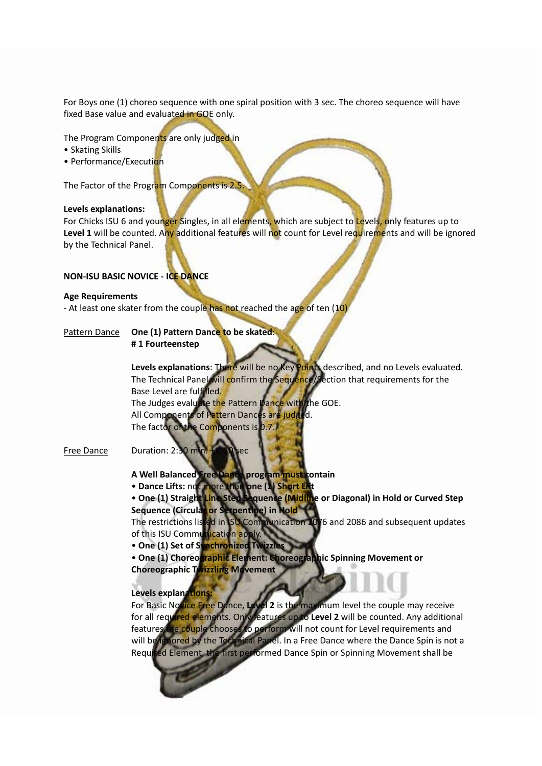For Boys one (1) choreo sequence with one spiral position with 3 sec. The choreo sequence will have fixed Base value and evaluated in GOE only.

The Program Components are only judged in

- Skating Skills
- Performance/Execution

The Factor of the Program Components is 2.5.

#### **Levels explanations:**

For Chicks ISU 6 and younger Singles, in all elements, which are subject to Levels, only features up to **Level 1** will be counted. Any additional features will not count for Level requirements and will be ignored by the Technical Panel.

#### **NON‐ISU BASIC NOVICE ‐ ICE DANCE**

#### **Age Requirements**

- At least one skater from the couple has not reached the age of ten (10)

#### Pattern Dance **One (1) Pattern Dance to be skated**: **# 1 Fourteenstep**

**Levels explanations**: There will be no Key Points described, and no Levels evaluated. The Technical Panel will confirm the Sequence/Section that requirements for the Base Level are fulfilled. The Judges evaluate the Pattern Dance with the GOE. All Components of Pattern Dances are judged. The factor of the Components is 0.7.

- Free Dance Duration: 2:30 min. +/10 sec
	- **A Well Balanced Free Dance program must contain**
	- **Dance Lifts:** not more than **one (1) Short Lift**
	- **One (1) Straight Line Step Sequence (Midline or Diagonal) in Hold or Curved Step Sequence (Circular or Serpentine) in Hold**

The restrictions listed in ISU Communication 2076 and 2086 and subsequent updates of this ISU Communication apply.

- **One (1) Set of Synchronized Twizzles**
- **One (1) Choreographic Element: Choreographic Spinning Movement or Choreographic Twizzling Movement**

#### **Levels explanations:**

For Basic Novice Free Dance, **Level 2** is the maximum level the couple may receive for all required elements. Only features up to **Level 2** will be counted. Any additional features the couple chooses to perform will not count for Level requirements and will be ignored by the Technical Panel. In a Free Dance where the Dance Spin is not a Required Element, the first performed Dance Spin or Spinning Movement shall be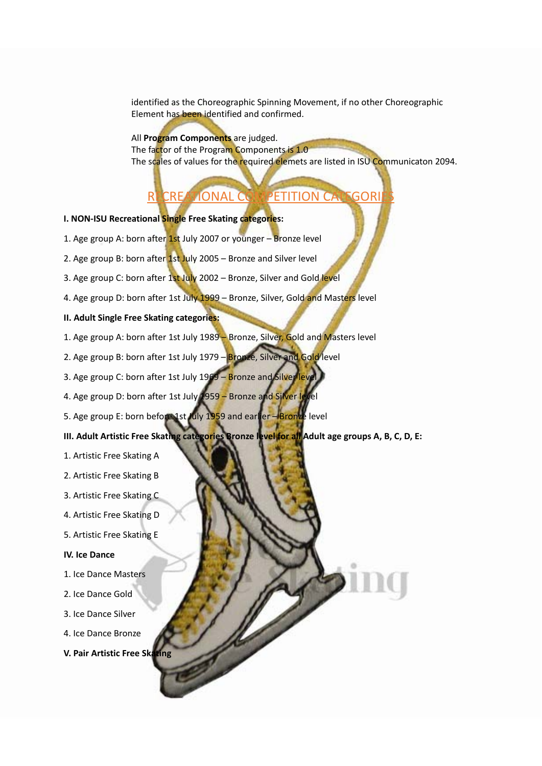identified as the Choreographic Spinning Movement, if no other Choreographic Element has been identified and confirmed.

All **Program Components** are judged. The factor of the Program Components is 1.0 The scales of values for the required elemets are listed in ISU Communicaton 2094.

## RECREATIONAL COMPETITION CATEGORI

- **I. NON‐ISU Recreational Single Free Skating categories:**
- 1. Age group A: born after 1st July 2007 or younger Bronze level
- 2. Age group B: born after 1st July 2005 Bronze and Silver level
- 3. Age group C: born after 1st July 2002 Bronze, Silver and Gold level
- 4. Age group D: born after 1st July 1999 Bronze, Silver, Gold and Masters level

#### **II. Adult Single Free Skating categories:**

- 1. Age group A: born after 1st July 1989 Bronze, Silver, Gold and Masters level
- 2. Age group B: born after 1st July 1979 Bronze, Silver and Gold level
- 3. Age group C: born after 1st July 1969 Bronze and Silver level
- 4. Age group D: born after 1st July 1959 Bronze and Silver le
- 5. Age group E: born before 1st July 1959 and earlier Bronze level
- **III. Adult Artistic Free Skating categories Bronze level for all Adult age groups A, B, C, D, E:**
- 1. Artistic Free Skating A
- 2. Artistic Free Skating B
- 3. Artistic Free Skating C
- 4. Artistic Free Skating D
- 5. Artistic Free Skating E
- **IV. Ice Dance**
- 1. Ice Dance Masters
- 2. Ice Dance Gold
- 3. Ice Dance Silver
- 4. Ice Dance Bronze
- **V. Pair Artistic Free Skating**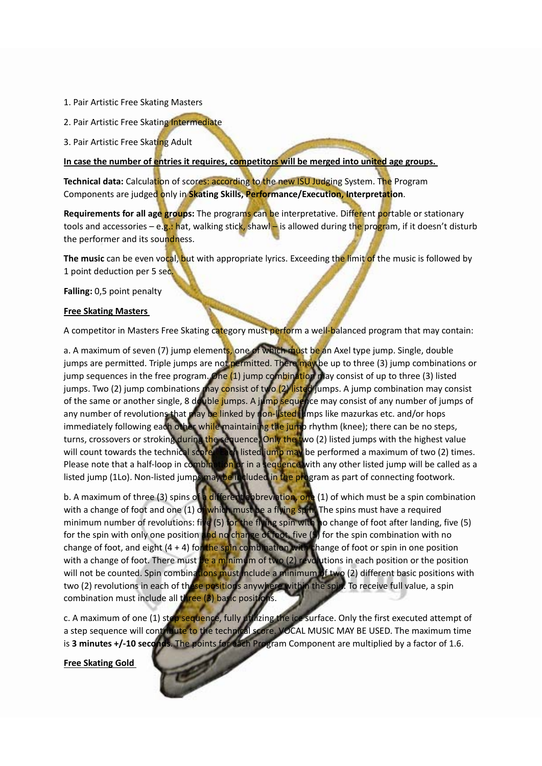- 1. Pair Artistic Free Skating Masters
- 2. Pair Artistic Free Skating Intermediate
- 3. Pair Artistic Free Skating Adult

**In case the number of entries it requires, competitors will be merged into united age groups.**

**Technical data:** Calculation of scores: according to the new ISU Judging System. The Program Components are judged only in **Skating Skills, Performance/Execution, Interpretation**.

**Requirements for all age groups:** The programs can be interpretative. Different portable or stationary tools and accessories – e.g.: hat, walking stick, shawl – is allowed during the program, if it doesn't disturb the performer and its soundness.

**The music** can be even vocal, but with appropriate lyrics. Exceeding the limit of the music is followed by 1 point deduction per 5 sec.

**Falling:** 0,5 point penalty

#### **Free Skating Masters**

A competitor in Masters Free Skating category must perform a well-balanced program that may contain:

a. A maximum of seven (7) jump elements, one of which must be an Axel type jump. Single, double jumps are permitted. Triple jumps are not permitted. There may be up to three (3) jump combinations or jump sequences in the free program. One (1) jump combination may consist of up to three (3) listed jumps. Two (2) jump combinations may consist of two (2) listed jumps. A jump combination may consist of the same or another single, 8 double jumps. A jump sequence may consist of any number of jumps of any number of revolutions that may be linked by non-listed jumps like mazurkas etc. and/or hops immediately following each other while maintaining the jump rhythm (knee); there can be no steps, turns, crossovers or stroking during the sequence. Only the two (2) listed jumps with the highest value<br>will count towards the technical score. Each listed jump may be performed a maximum of two (2) time<br>Please note that a will count towards the technical score. Each listed jump may be performed a maximum of two (2) times. Please note that a half-loop in combinatio<mark>n</mark> or in a sequence with any other listed jump will be called as a listed jump (1Lo). Non-listed jumps may be included in the program as part of connecting footwork.

b. A maximum of three (3) spins of a different abbreviation, one (1) of which must be a spin combination with a change of foot and one (1) of which must be a flying spin. The spins must have a required minimum number of revolutions: five (5) for the flying spin with no change of foot after landing, five (5) for the spin with only one position and no change of foot, five  $(5)$  for the spin combination with no change of foot, and eight  $(4 + 4)$  for the spin combination with change of foot or spin in one position with a change of foot. There must be a minimum of two (2) revolutions in each position or the position will not be counted. Spin combinations must include a minimum of two (2) different basic positions with two (2) revolutions in each of these positions anywhere within the spin. To receive full value, a spin combination must include all three (3) basic positions.

c. A maximum of one (1) step sequence, fully utilizing the ice surface. Only the first executed attempt of a step sequence will contribute to the technical score. VOCAL MUSIC MAY BE USED. The maximum time is **3 minutes +/‐10 seconds**. The points for each Program Component are multiplied by a factor of 1.6.

**Free Skating Gold**

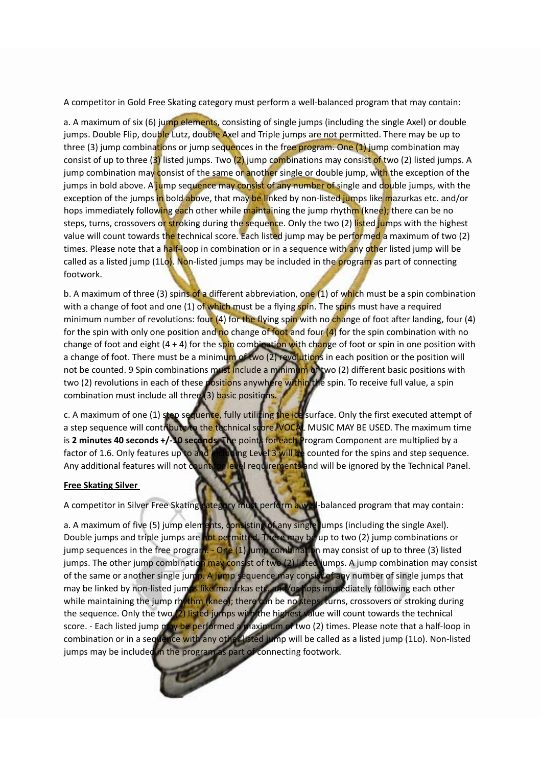A competitor in Gold Free Skating category must perform a well‐balanced program that may contain:

a. A maximum of six (6) jump elements, consisting of single jumps (including the single Axel) or double jumps. Double Flip, double Lutz, double Axel and Triple jumps are not permitted. There may be up to three (3) jump combinations or jump sequences in the free program. One (1) jump combination may consist of up to three (3) listed jumps. Two (2) jump combinations may consist of two (2) listed jumps. A jump combination may consist of the same or another single or double jump, with the exception of the jumps in bold above. A jump sequence may consist of any number of single and double jumps, with the exception of the jumps in bold above, that may be linked by non-listed jumps like mazurkas etc. and/or hops immediately following each other while maintaining the jump rhythm (knee); there can be no steps, turns, crossovers or stroking during the sequence. Only the two (2) listed jumps with the highest value will count towards the technical score. Each listed jump may be performed a maximum of two (2) times. Please note that a half-loop in combination or in a sequence with any other listed jump will be called as a listed jump (1Lo). Non-listed jumps may be included in the program as part of connecting footwork.

b. A maximum of three (3) spins of a different abbreviation, one (1) of which must be a spin combination with a change of foot and one (1) of which must be a flying spin. The spins must have a required minimum number of revolutions: four (4) for the flying spin with no change of foot after landing, four (4) for the spin with only one position and no change of foot and four (4) for the spin combination with no change of foot and eight  $(4 + 4)$  for the spin combination with change of foot or spin in one position with a change of foot. There must be a minimum of two (2) revolutions in each position or the position will not be counted. 9 Spin combinations must include a minimum of two (2) different basic positions with two (2) revolutions in each of these positions anywhere within the spin. To receive full value, a spin combination must include all three (3) basic positions.

c. A maximum of one (1) step sequence, fully utilizing the ice surface. Only the first executed attempt of a step sequence will contribute to the technical score. VOCAL MUSIC MAY BE USED. The maximum time is **2 minutes 40 seconds +/‐10 seconds**. The points for each Program Component are multiplied by a factor of 1.6. Only features up to and including Level 3 will be counted for the spins and step sequence. Any additional features will not count for level requirements and will be ignored by the Technical Panel.

#### **Free Skating Silver**

A competitor in Silver Free Skating category must perform a well-balanced program that may contain:

a. A maximum of five (5) jump elements, consisting of any single jumps (including the single Axel). Double jumps and triple jumps are not permitted. There may be up to two (2) jump combinations or jump sequences in the free program. - One (1) jump combination may consist of up to three (3) listed jumps. The other jump combination may consist of two (2) listed jumps. A jump combination may consist of the same or another single jump. A jump sequence may consist of any number of single jumps that may be linked by non-listed jumps like mazurkas etc. and/or hops immediately following each other while maintaining the jump rhythm (knee); there can be no steps, turns, crossovers or stroking during the sequence. Only the two (2) listed jumps with the highest value will count towards the technical score. - Each listed jump may be performed a maximum of two (2) times. Please note that a half-loop in combination or in a sequence with any other listed jump will be called as a listed jump (1Lo). Non-listed jumps may be included in the program as part of connecting footwork.

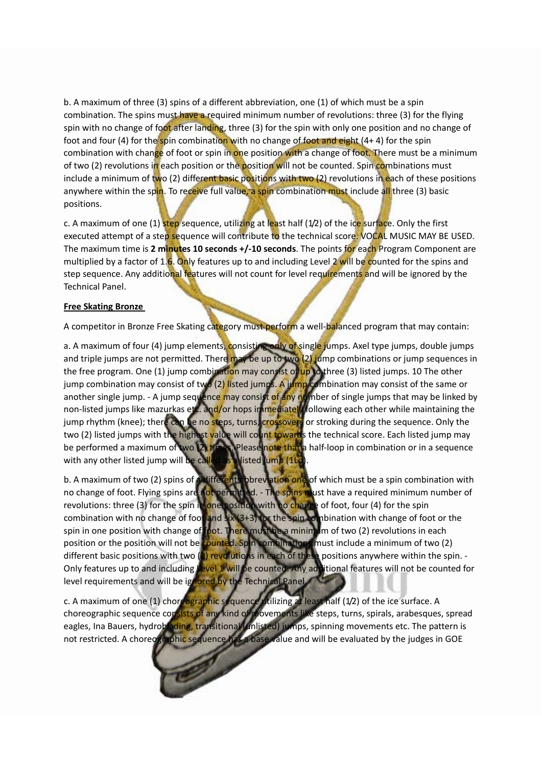b. A maximum of three (3) spins of a different abbreviation, one (1) of which must be a spin combination. The spins must have a required minimum number of revolutions: three (3) for the flying spin with no change of foot after landing, three (3) for the spin with only one position and no change of foot and four (4) for the spin combination with no change of foot and eight (4+ 4) for the spin combination with change of foot or spin in one position with a change of foot. There must be a minimum of two (2) revolutions in each position or the position will not be counted. Spin combinations must include a minimum of two (2) different basic positions with two (2) revolutions in each of these positions anywhere within the spin. To receive full value, a spin combination must include all three (3) basic positions.

c. A maximum of one (1) step sequence, utilizing at least half (1/2) of the ice surface. Only the first executed attempt of a step sequence will contribute to the technical score. VOCAL MUSIC MAY BE USED. The maximum time is **2 minutes 10 seconds +/‐10 seconds**. The points for each Program Component are multiplied by a factor of 1.6. Only features up to and including Level 2 will be counted for the spins and step sequence. Any additional features will not count for level requirements and will be ignored by the Technical Panel.

#### **Free Skating Bronze**

A competitor in Bronze Free Skating category must perform a well-balanced program that may contain:

a. A maximum of four (4) jump elements, consisting only of single jumps. Axel type jumps, double jumps and triple jumps are not permitted. There may be up to two (2) jump combinations or jump sequences in the free program. One (1) jump combination may consist of up to three (3) listed jumps. 10 The other jump combination may consist of two (2) listed jumps. A jump combination may consist of the same or another single jump. - A jump sequence may consist of any number of single jumps that may be linked by non-listed jumps like mazurkas etc. and/or hops immediately following each other while maintaining the jump rhythm (knee); there can be no steps, turns, crossovers or stroking during the sequence. Only the two (2) listed jumps with the highest value will count towards the technical score. Each listed jump may be performed a maximum of two (2) times. Please note that a half-loop in combination or in a sequence with any other listed jump will be called as a listed jump (1Lc). with any other listed jump will be calle

b. A maximum of two (2) spins of a different abbreviation one of which must be a spin combination with no change of foot. Flying spins are not permit ed. - The spins must have a required minimum number of revolutions: three (3) for the spin in one position with no change of foot, four (4) for the spin combination with no change of foot and six (3+3) for the spin combination with change of foot or the spin in one position with change of foot. There must be a minimum of two (2) revolutions in each position or the position will not be counted. Spin combinations must include a minimum of two (2) different basic positions with two (2) revolutions in each of these positions anywhere within the spin. -Only features up to and including Level 1 will be counted. Any additional features will not be counted for level requirements and will be ignored by the Technical Panel.

c. A maximum of one (1) choreographic sequence utilizing at least half (1/2) of the ice surface. A choreographic sequence consists of any kind of movements like steps, turns, spirals, arabesques, spread eagles, Ina Bauers, hydroblading, transitional (unlisted) jumps, spinning movements etc. The pattern is not restricted. A choreographic sequence has a base value and will be evaluated by the judges in GOE

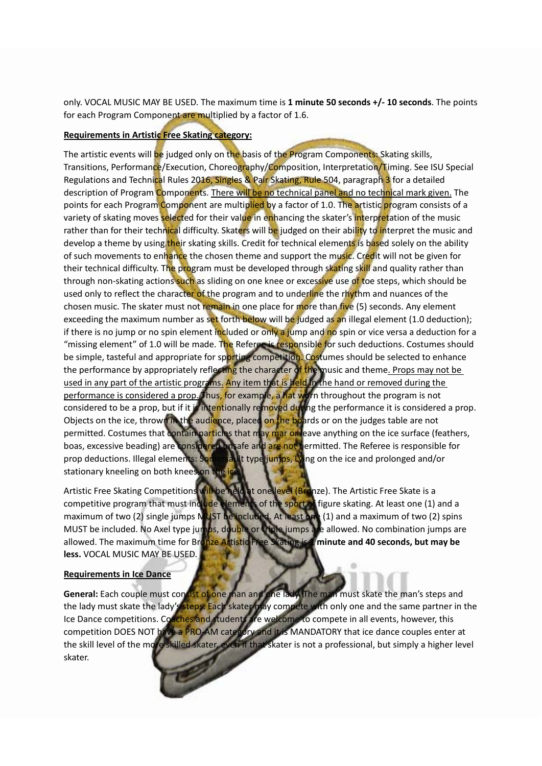only. VOCAL MUSIC MAY BE USED. The maximum time is **1 minute 50 seconds +/‐ 10 seconds**. The points for each Program Component are multiplied by a factor of 1.6.

#### **Requirements in Artistic Free Skating category:**

The artistic events will be judged only on the basis of the Program Components: Skating skills, Transitions, Performance/Execution, Choreography/Composition, Interpretation/Timing. See ISU Special Regulations and Technical Rules 2016, Singles & Pair Skating, Rule 504, paragraph 3 for a detailed description of Program Components. There will be no technical panel and no technical mark given. The points for each Program Component are multiplied by a factor of 1.0. The artistic program consists of a variety of skating moves selected for their value in enhancing the skater's interpretation of the music rather than for their technical difficulty. Skaters will be judged on their ability to interpret the music and develop a theme by using their skating skills. Credit for technical elements is based solely on the ability of such movements to enhance the chosen theme and support the music. Credit will not be given for their technical difficulty. The program must be developed through skating skill and quality rather than through non-skating actions such as sliding on one knee or excessive use of toe steps, which should be used only to reflect the character of the program and to underline the rhythm and nuances of the chosen music. The skater must not remain in one place for more than five (5) seconds. Any element exceeding the maximum number as set forth below will be judged as an illegal element (1.0 deduction); if there is no jump or no spin element included or only a jump and no spin or vice versa a deduction for a "missing element" of 1.0 will be made. The Referee is responsible for such deductions. Costumes should be simple, tasteful and appropriate for sporting competition. Costumes should be selected to enhance the performance by appropriately reflecting the character of the music and theme. Props may not be used in any part of the artistic programs. Any item that is held in the hand or removed during the performance is considered a prop. Thus, for example, a hat worn throughout the program is not considered to be a prop, but if it is intentionally removed during the performance it is considered a prop. Objects on the ice, thrown in the audience, placed on the boards or on the judges table are not permitted. Costumes that contain particles that may mar or leave anything on the ice surface (feathers, boas, excessive beading) are considered unsafe and are not permitted. The Referee is responsible for prop deductions. Illegal elements: Somersault type jumps, Lying on the ice and prolonged and/or stationary kneeling on both knees on the ice

Artistic Free Skating Competitions wi<mark>ll be held a</mark>t one level (Bronze). The Artistic Free Skate is a competitive program that must include elements of the sport of figure skating. At least one (1) and a maximum of two (2) single jumps M<mark>U</mark>ST be included. At least one (1) and a maximum of two (2) spins MUST be included. No Axel type jumps, double or triple jumps are allowed. No combination jumps are allowed. The maximum time for Bronze Artistic Free Skating is **1 minute and 40 seconds, but may be less.** VOCAL MUSIC MAY BE USED.

#### **Requirements in Ice Dance**

**General:** Each couple must consist of one man and one lady. The man must skate the man's steps and the lady must skate the lady's steps. Each skater may compete with only one and the same partner in the Ice Dance competitions. Coaches and students are welcome to compete in all events, however, this competition DOES NOT have a PRO-AM category and it is MANDATORY that ice dance couples enter at the skill level of the more skilled skater, even if that skater is not a professional, but simply a higher level skater.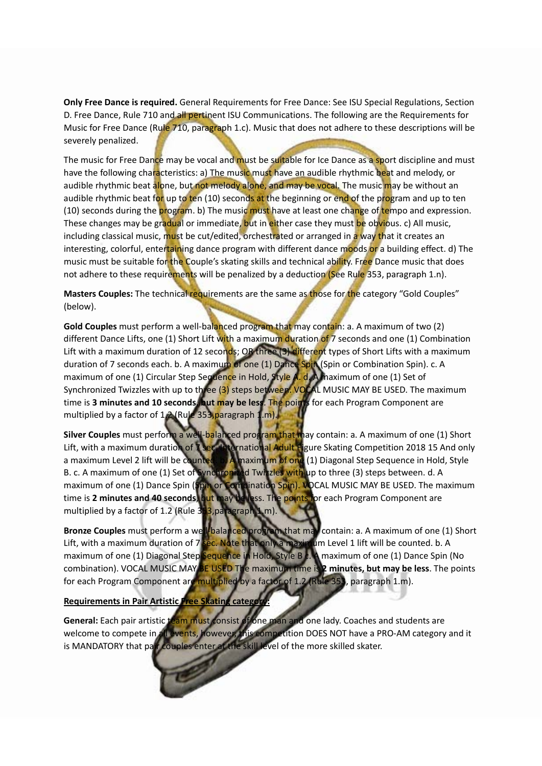**Only Free Dance is required.** General Requirements for Free Dance: See ISU Special Regulations, Section D. Free Dance, Rule 710 and all pertinent ISU Communications. The following are the Requirements for Music for Free Dance (Rule 710, paragraph 1.c). Music that does not adhere to these descriptions will be severely penalized.

The music for Free Dance may be vocal and must be suitable for Ice Dance as a sport discipline and must have the following characteristics: a) The music must have an audible rhythmic beat and melody, or audible rhythmic beat alone, but not melody alone, and may be vocal. The music may be without an audible rhythmic beat for up to ten (10) seconds at the beginning or end of the program and up to ten (10) seconds during the program. b) The music must have at least one change of tempo and expression. These changes may be gradual or immediate, but in either case they must be obvious. c) All music, including classical music, must be cut/edited, orchestrated or arranged in a way that it creates an interesting, colorful, entertaining dance program with different dance moods or a building effect. d) The music must be suitable for the Couple's skating skills and technical ability. Free Dance music that does not adhere to these requirements will be penalized by a deduction (See Rule 353, paragraph 1.n).

**Masters Couples:** The technical requirements are the same as those for the category "Gold Couples" (below).

**Gold Couples** must perform a well‐balanced program that may contain: a. A maximum of two (2) different Dance Lifts, one (1) Short Lift with a maximum duration of 7 seconds and one (1) Combination Lift with a maximum duration of 12 seconds; OR three (3) different types of Short Lifts with a maximum duration of 7 seconds each. b. A maximum of one (1) Dance Spin (Spin or Combination Spin). c. A maximum of one (1) Circular Step Sequence in Hold, Style A. d. A maximum of one (1) Set of Synchronized Twizzles with up to three (3) steps between. VOCAL MUSIC MAY BE USED. The maximum time is **3 minutes and 10 seconds, but may be less**. The points for each Program Component are multiplied by a factor of 1.2 (Rule 353, paragraph 1.m).

**Silver Couples** must perform a well‐balanced program that may contain: a. A maximum of one (1) Short Lift, with a maximum duration of 7 sec. International Adult Figure Skating Competition 2018 15 And only a maximum Level 2 lift will be counted. b. A maximum of one (1) Diagonal Step Sequence in Hold, Style B. c. A maximum of one (1) Set of Synchronized Twizzles with up to three (3) steps between. d. A maximum of one (1) Dance Spin (Spin or Combination Spin). VOCAL MUSIC MAY BE USED. The maximum time is **2 minutes and 40 seconds**, but may be less. The points for each Program Component are multiplied by a factor of 1.2 (Rule 353,paragraph 1 m).

**Bronze Couples** must perform a well-balanced program that may contain: a. A maximum of one (1) Short Lift, with a maximum duration of 7 sec. Note that only a maximum Level 1 lift will be counted. b. A maximum of one (1) Diagonal Step Sequence in Hold, Style B c. A maximum of one (1) Dance Spin (No combination). VOCAL MUSIC MAY BE USED The maximum time is **2 minutes, but may be less**. The points for each Program Component are multiplied by a factor of 1.2 (Rule 353, paragraph 1.m).

#### **Requirements in Pair Artistic Free Skating category:**

**General:** Each pair artistic team must consist of one man and one lady. Coaches and students are welcome to compete in all events, however, this competition DOES NOT have a PRO‐AM category and it is MANDATORY that pair couples enter at the skill level of the more skilled skater.

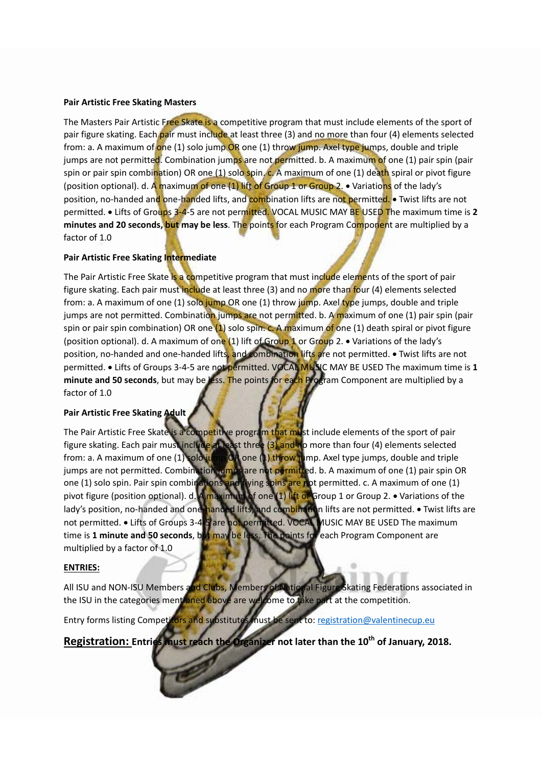#### **Pair Artistic Free Skating Masters**

The Masters Pair Artistic Free Skate is a competitive program that must include elements of the sport of pair figure skating. Each pair must include at least three (3) and no more than four (4) elements selected from: a. A maximum of one (1) solo jump OR one (1) throw jump. Axel type jumps, double and triple jumps are not permitted. Combination jumps are not permitted. b. A maximum of one (1) pair spin (pair spin or pair spin combination) OR one (1) solo spin. c. A maximum of one (1) death spiral or pivot figure (position optional). d. A maximum of one (1) lift of Group 1 or Group 2.  $\bullet$  Variations of the lady's position, no-handed and one-handed lifts, and combination lifts are not permitted. • Twist lifts are not permitted. Lifts of Groups 3‐4‐5 are not permitted. VOCAL MUSIC MAY BE USED The maximum time is **2 minutes and 20 seconds, but may be less**. The points for each Program Component are multiplied by a factor of 1.0

#### **Pair Artistic Free Skating Intermediate**

The Pair Artistic Free Skate is a competitive program that must include elements of the sport of pair figure skating. Each pair must include at least three (3) and no more than four (4) elements selected from: a. A maximum of one (1) solo jump OR one (1) throw jump. Axel type jumps, double and triple jumps are not permitted. Combination jumps are not permitted. b. A maximum of one (1) pair spin (pair spin or pair spin combination) OR one (1) solo spin. c. A maximum of one (1) death spiral or pivot figure (position optional). d. A maximum of one (1) lift of Group 1 or Group 2.  $\bullet$  Variations of the lady's position, no-handed and one-handed lifts, and combination lifts are not permitted. • Twist lifts are not permitted. Lifts of Groups 3‐4‐5 are not permitted. VOCAL MUSIC MAY BE USED The maximum time is **1 minute and 50 seconds**, but may be less. The points for each Program Component are multiplied by a factor of 1.0

#### **Pair Artistic Free Skating Adult**

The Pair Artistic Free Skate is a competitive program that must include elements of the sport of pair figure skating. Each pair must include at least three (3) and no more than four (4) elements selected from: a. A maximum of one (1) solo jump OR one (1) throw jump. Axel type jumps, double and triple jumps are not permitted. Combination jumps are not permitted. b. A maximum of one (1) pair spin OR one (1) solo spin. Pair spin combinations and flying spins are not permitted. c. A maximum of one (1) pivot figure (position optional). d. A maximum of one (1) lift of Group 1 or Group 2.  $\bullet$  Variations of the lady's position, no-handed and one handed lifts, and combination lifts are not permitted. • Twist lifts are not permitted. • Lifts of Groups 3-4-5 are not permitted. VOCAL MUSIC MAY BE USED The maximum time is **1 minute and 50 seconds**, but may be less. The points for each Program Component are multiplied by a factor of 1.0

#### **ENTRIES:**

All ISU and NON-ISU Members and Clubs, Members of National Figure Skating Federations associated in the ISU in the categories mentioned above are welcome to take part at the competition.

Entry forms listing Competitors and substitutes must be sent to: registration@valentinecup.eu

**Registration: Entries must reach the Organizer not later than the 10th of January, 2018.**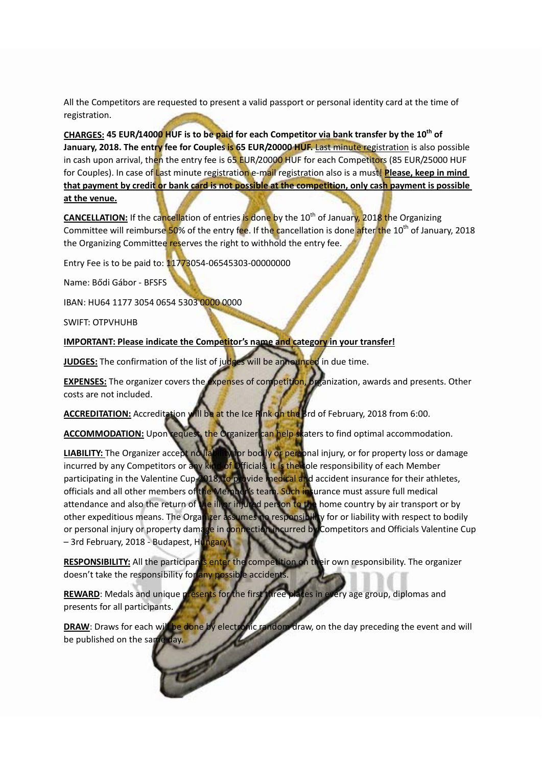All the Competitors are requested to present a valid passport or personal identity card at the time of registration.

**CHARGES: 45 EUR/14000 HUF is to be paid for each Competitor via bank transfer by the 10th of January, 2018. The entry fee for Couples is 65 EUR/20000 HUF.** Last minute registration is also possible in cash upon arrival, then the entry fee is 65 EUR/20000 HUF for each Competitors (85 EUR/25000 HUF for Couples). In case of Last minute registration e‐mail registration also is a must! **Please, keep in mind** that payment by credit or bank card is not possible at the competition, only cash payment is possible **at the venue.**

**CANCELLATION:** If the cancellation of entries is done by the 10<sup>th</sup> of January, 2018 the Organizing Committee will reimburse 50% of the entry fee. If the cancellation is done after the 10<sup>th</sup> of January, 2018 the Organizing Committee reserves the right to withhold the entry fee.

Entry Fee is to be paid to: 11773054‐06545303‐00000000

Name: Bődi Gábor ‐ BFSFS

IBAN: HU64 1177 3054 0654 5303 0000 0000

SWIFT: OTPVHUHB

**IMPORTANT: Please indicate the Competitor's name and category in your transfer!**

**JUDGES:** The confirmation of the list of judges will be announced in due time.

**EXPENSES:** The organizer covers the expenses of competition, organization, awards and presents. Other costs are not included.

**ACCREDITATION:** Accreditation will be at the Ice Rink on the 3rd of February, 2018 from 6:00.

ACCOMMODATION: Upon request, the Organizer can help skaters to find optimal accommodation.

**LIABILITY:** The Organizer accept no liability for bodily or personal injury, or for property loss or damage incurred by any Competitors or any kind of Officials. It is the sole responsibility of each Member participating in the Valentine Cup-2018, to provide medical and accident insurance for their athletes, officials and all other members of the Member's team. Such insurance must assure full medical attendance and also the return of th<mark>e ill or injured person to the</mark> home country by air transport or by other expeditious means. The Organizer assumes no responsibility for or liability with respect to bodily or personal injury or property damage in connection incurred by Competitors and Officials Valentine Cup – 3rd February, 2018 ‐ Budapest, Hungary

RESPONSIBILITY: All the participants enter the competition on their own responsibility. The organizer doesn't take the responsibility for any possible accidents.

**REWARD**: Medals and unique presents for the first three places in every age group, diplomas and presents for all participants.

**DRAW**: Draws for each will be done by electronic random draw, on the day preceding the event and will be published on the same day.